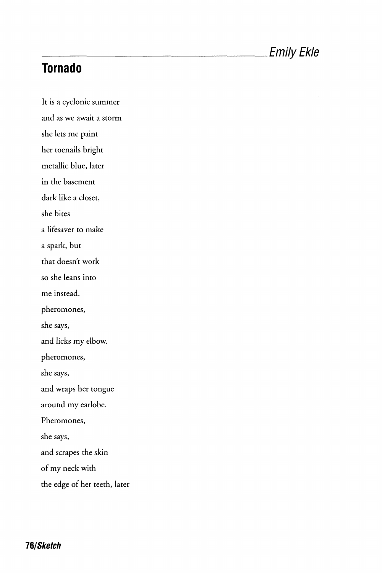## **Tornado**

It is a cyclonic summer and as we await a storm she lets me paint her toenails bright metallic blue, later in the basement dark like a closet, she bites a lifesaver to make a spark, but that doesn't work so she leans into me instead. pheromones, she says, and licks my elbow. pheromones, she says, and wraps her tongue around my earlobe. Pheromones, she says, and scrapes the skin of my neck with the edge of her teeth, later